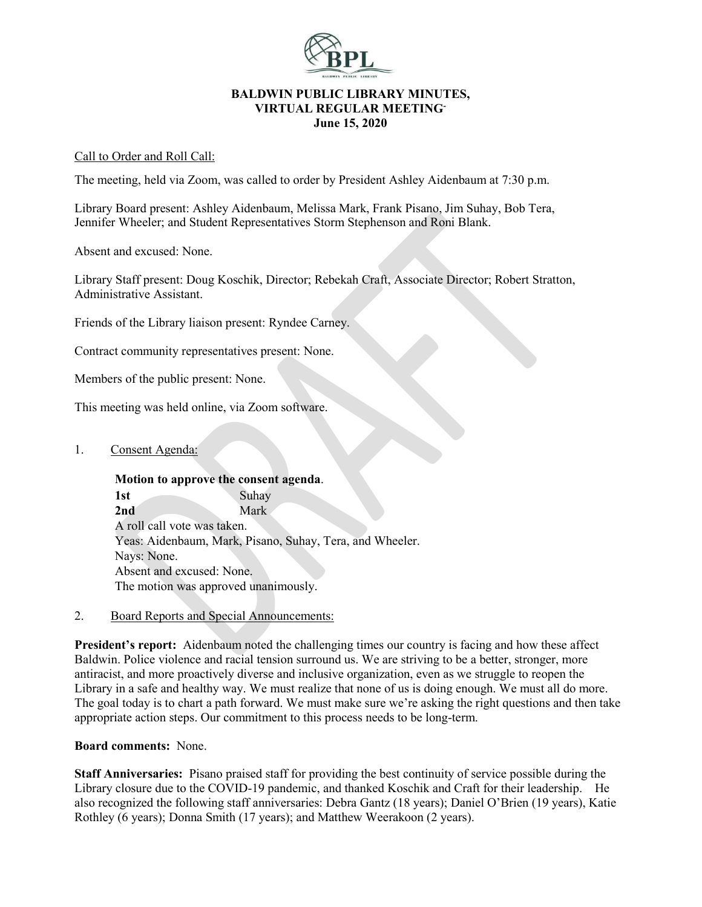

#### **BALDWIN PUBLIC LIBRARY MINUTES, VIRTUAL REGULAR MEETING-June 15, 2020**

#### Call to Order and Roll Call:

The meeting, held via Zoom, was called to order by President Ashley Aidenbaum at 7:30 p.m.

Library Board present: Ashley Aidenbaum, Melissa Mark, Frank Pisano, Jim Suhay, Bob Tera, Jennifer Wheeler; and Student Representatives Storm Stephenson and Roni Blank.

Absent and excused: None.

Library Staff present: Doug Koschik, Director; Rebekah Craft, Associate Director; Robert Stratton, Administrative Assistant.

Friends of the Library liaison present: Ryndee Carney.

Contract community representatives present: None.

Members of the public present: None.

This meeting was held online, via Zoom software.

1. Consent Agenda:

**Motion to approve the consent agenda**. 1st Suhav **2nd** Mark A roll call vote was taken. Yeas: Aidenbaum, Mark, Pisano, Suhay, Tera, and Wheeler. Nays: None. Absent and excused: None. The motion was approved unanimously.

2. Board Reports and Special Announcements:

**President's report:** Aidenbaum noted the challenging times our country is facing and how these affect Baldwin. Police violence and racial tension surround us. We are striving to be a better, stronger, more antiracist, and more proactively diverse and inclusive organization, even as we struggle to reopen the Library in a safe and healthy way. We must realize that none of us is doing enough. We must all do more. The goal today is to chart a path forward. We must make sure we're asking the right questions and then take appropriate action steps. Our commitment to this process needs to be long-term.

#### **Board comments:** None.

**Staff Anniversaries:** Pisano praised staff for providing the best continuity of service possible during the Library closure due to the COVID-19 pandemic, and thanked Koschik and Craft for their leadership. He also recognized the following staff anniversaries: Debra Gantz (18 years); Daniel O'Brien (19 years), Katie Rothley (6 years); Donna Smith (17 years); and Matthew Weerakoon (2 years).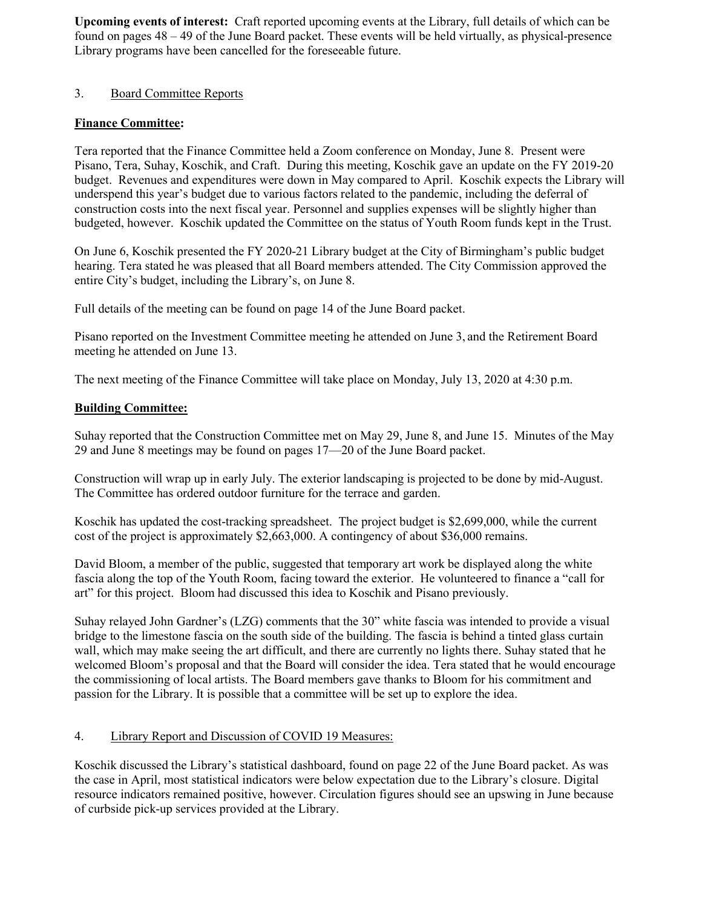**Upcoming events of interest:** Craft reported upcoming events at the Library, full details of which can be found on pages 48 – 49 of the June Board packet. These events will be held virtually, as physical-presence Library programs have been cancelled for the foreseeable future.

## 3. Board Committee Reports

# **Finance Committee:**

Tera reported that the Finance Committee held a Zoom conference on Monday, June 8. Present were Pisano, Tera, Suhay, Koschik, and Craft. During this meeting, Koschik gave an update on the FY 2019-20 budget. Revenues and expenditures were down in May compared to April. Koschik expects the Library will underspend this year's budget due to various factors related to the pandemic, including the deferral of construction costs into the next fiscal year. Personnel and supplies expenses will be slightly higher than budgeted, however. Koschik updated the Committee on the status of Youth Room funds kept in the Trust.

On June 6, Koschik presented the FY 2020-21 Library budget at the City of Birmingham's public budget hearing. Tera stated he was pleased that all Board members attended. The City Commission approved the entire City's budget, including the Library's, on June 8.

Full details of the meeting can be found on page 14 of the June Board packet.

Pisano reported on the Investment Committee meeting he attended on June 3, and the Retirement Board meeting he attended on June 13.

The next meeting of the Finance Committee will take place on Monday, July 13, 2020 at 4:30 p.m.

### **Building Committee:**

Suhay reported that the Construction Committee met on May 29, June 8, and June 15. Minutes of the May 29 and June 8 meetings may be found on pages 17—20 of the June Board packet.

Construction will wrap up in early July. The exterior landscaping is projected to be done by mid-August. The Committee has ordered outdoor furniture for the terrace and garden.

Koschik has updated the cost-tracking spreadsheet. The project budget is \$2,699,000, while the current cost of the project is approximately \$2,663,000. A contingency of about \$36,000 remains.

David Bloom, a member of the public, suggested that temporary art work be displayed along the white fascia along the top of the Youth Room, facing toward the exterior. He volunteered to finance a "call for art" for this project. Bloom had discussed this idea to Koschik and Pisano previously.

Suhay relayed John Gardner's (LZG) comments that the 30" white fascia was intended to provide a visual bridge to the limestone fascia on the south side of the building. The fascia is behind a tinted glass curtain wall, which may make seeing the art difficult, and there are currently no lights there. Suhay stated that he welcomed Bloom's proposal and that the Board will consider the idea. Tera stated that he would encourage the commissioning of local artists. The Board members gave thanks to Bloom for his commitment and passion for the Library. It is possible that a committee will be set up to explore the idea.

# 4. Library Report and Discussion of COVID 19 Measures:

Koschik discussed the Library's statistical dashboard, found on page 22 of the June Board packet. As was the case in April, most statistical indicators were below expectation due to the Library's closure. Digital resource indicators remained positive, however. Circulation figures should see an upswing in June because of curbside pick-up services provided at the Library.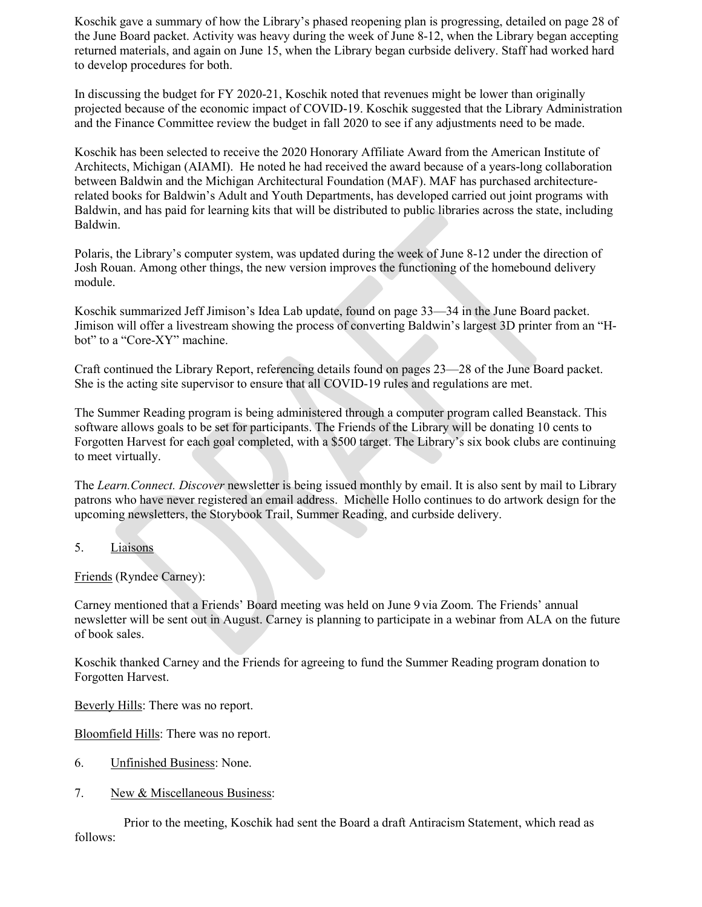Koschik gave a summary of how the Library's phased reopening plan is progressing, detailed on page 28 of the June Board packet. Activity was heavy during the week of June 8-12, when the Library began accepting returned materials, and again on June 15, when the Library began curbside delivery. Staff had worked hard to develop procedures for both.

In discussing the budget for FY 2020-21, Koschik noted that revenues might be lower than originally projected because of the economic impact of COVID-19. Koschik suggested that the Library Administration and the Finance Committee review the budget in fall 2020 to see if any adjustments need to be made.

Koschik has been selected to receive the 2020 Honorary Affiliate Award from the American Institute of Architects, Michigan (AIAMI). He noted he had received the award because of a years-long collaboration between Baldwin and the Michigan Architectural Foundation (MAF). MAF has purchased architecturerelated books for Baldwin's Adult and Youth Departments, has developed carried out joint programs with Baldwin, and has paid for learning kits that will be distributed to public libraries across the state, including Baldwin.

Polaris, the Library's computer system, was updated during the week of June 8-12 under the direction of Josh Rouan. Among other things, the new version improves the functioning of the homebound delivery module.

Koschik summarized Jeff Jimison's Idea Lab update, found on page 33—34 in the June Board packet. Jimison will offer a livestream showing the process of converting Baldwin's largest 3D printer from an "Hbot" to a "Core-XY" machine.

Craft continued the Library Report, referencing details found on pages 23—28 of the June Board packet. She is the acting site supervisor to ensure that all COVID-19 rules and regulations are met.

The Summer Reading program is being administered through a computer program called Beanstack. This software allows goals to be set for participants. The Friends of the Library will be donating 10 cents to Forgotten Harvest for each goal completed, with a \$500 target. The Library's six book clubs are continuing to meet virtually.

The *Learn.Connect. Discover* newsletter is being issued monthly by email. It is also sent by mail to Library patrons who have never registered an email address. Michelle Hollo continues to do artwork design for the upcoming newsletters, the Storybook Trail, Summer Reading, and curbside delivery.

#### 5. Liaisons

Friends (Ryndee Carney):

Carney mentioned that a Friends' Board meeting was held on June 9 via Zoom. The Friends' annual newsletter will be sent out in August. Carney is planning to participate in a webinar from ALA on the future of book sales.

Koschik thanked Carney and the Friends for agreeing to fund the Summer Reading program donation to Forgotten Harvest.

Beverly Hills: There was no report.

Bloomfield Hills: There was no report.

- 6. Unfinished Business: None.
- 7. New & Miscellaneous Business:

Prior to the meeting, Koschik had sent the Board a draft Antiracism Statement, which read as follows: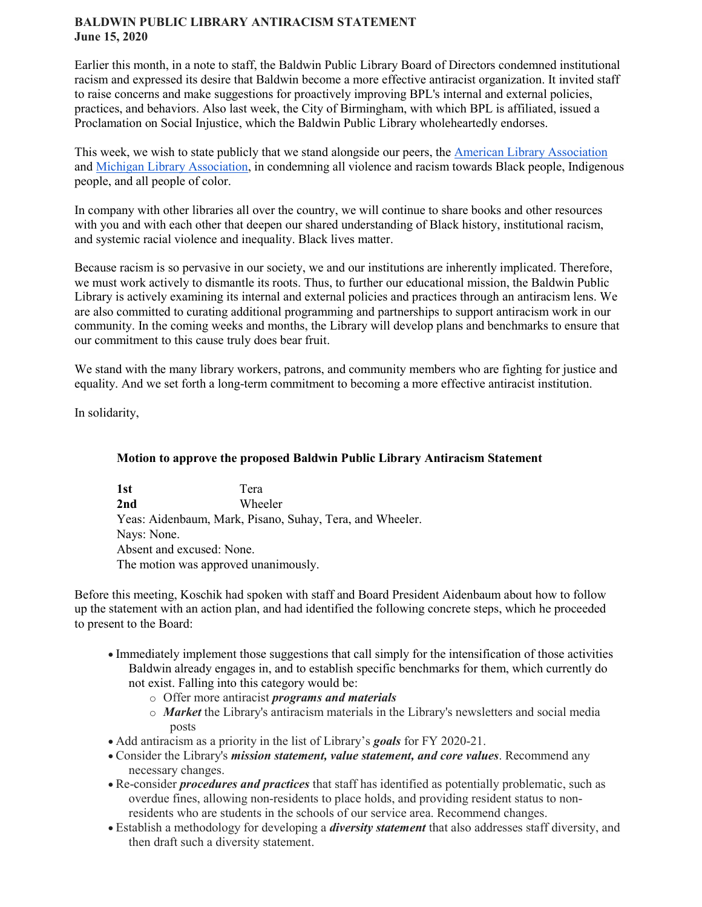### **BALDWIN PUBLIC LIBRARY ANTIRACISM STATEMENT June 15, 2020**

Earlier this month, in a note to staff, the Baldwin Public Library Board of Directors condemned institutional racism and expressed its desire that Baldwin become a more effective antiracist organization. It invited staff to raise concerns and make suggestions for proactively improving BPL's internal and external policies, practices, and behaviors. Also last week, the City of Birmingham, with which BPL is affiliated, issued a Proclamation on Social Injustice, which the Baldwin Public Library wholeheartedly endorses.

This week, we wish to state publicly that we stand alongside our peers, the [American Library Association](http://www.ala.org/news/press-releases/2020/06/ala-statement-condemning-police-violence-against-bipoc-protesters-and) and [Michigan Library Association,](https://www.milibraries.org/index.php?option=com_content&view=article&id=842%3Anecessary-conversations-on-institutional-racism---news---michigan-library-association&catid=20%3Asite-content&Itemid=292) in condemning all violence and racism towards Black people, Indigenous people, and all people of color.

In company with other libraries all over the country, we will continue to share books and other resources with you and with each other that deepen our shared understanding of Black history, institutional racism, and systemic racial violence and inequality. Black lives matter.

Because racism is so pervasive in our society, we and our institutions are inherently implicated. Therefore, we must work actively to dismantle its roots. Thus, to further our educational mission, the Baldwin Public Library is actively examining its internal and external policies and practices through an antiracism lens. We are also committed to curating additional programming and partnerships to support antiracism work in our community. In the coming weeks and months, the Library will develop plans and benchmarks to ensure that our commitment to this cause truly does bear fruit.

We stand with the many library workers, patrons, and community members who are fighting for justice and equality. And we set forth a long-term commitment to becoming a more effective antiracist institution.

In solidarity,

# **Motion to approve the proposed Baldwin Public Library Antiracism Statement**

**1st** Tera **2nd** Wheeler Yeas: Aidenbaum, Mark, Pisano, Suhay, Tera, and Wheeler. Nays: None. Absent and excused: None. The motion was approved unanimously.

Before this meeting, Koschik had spoken with staff and Board President Aidenbaum about how to follow up the statement with an action plan, and had identified the following concrete steps, which he proceeded to present to the Board:

- Immediately implement those suggestions that call simply for the intensification of those activities Baldwin already engages in, and to establish specific benchmarks for them, which currently do not exist. Falling into this category would be:
	- o Offer more antiracist *programs and materials*
	- o *Market* the Library's antiracism materials in the Library's newsletters and social media posts
- Add antiracism as a priority in the list of Library's *goals* for FY 2020-21.
- Consider the Library's *mission statement, value statement, and core values*. Recommend any necessary changes.
- Re-consider *procedures and practices* that staff has identified as potentially problematic, such as overdue fines, allowing non-residents to place holds, and providing resident status to nonresidents who are students in the schools of our service area. Recommend changes.
- Establish a methodology for developing a *diversity statement* that also addresses staff diversity, and then draft such a diversity statement.